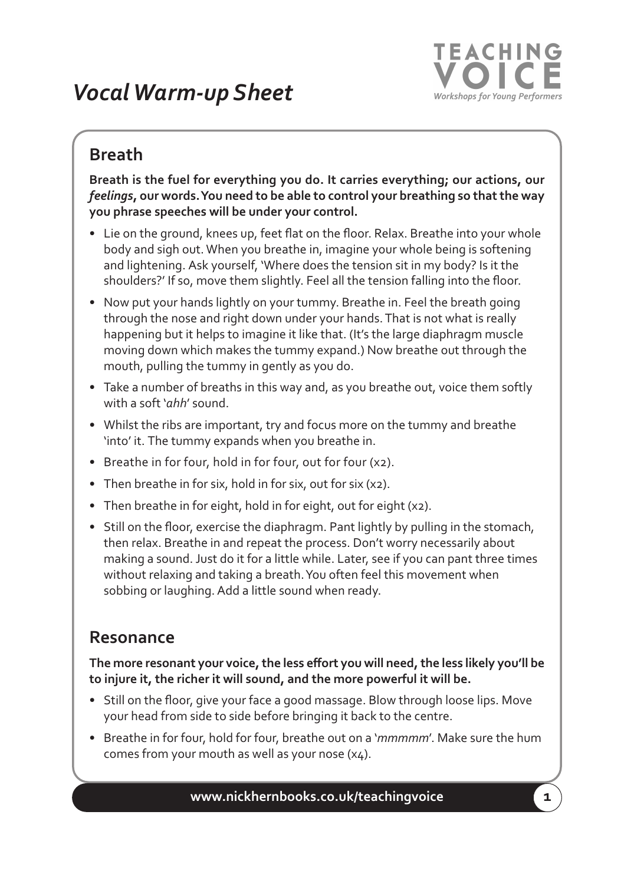## *VocalWarm-up Sheet*



## **Breath**

**Breath is the fuel for everything you do. It carries everything; our actions, our** *feelings***, our words.You need to be able to control your breathing so thatthe way you phrase speeches will be under your control.**

- Lie on the ground, knees up, feet flat on the floor. Relax. Breathe into your whole body and sigh out.When you breathe in, imagine your whole being is softening and lightening. Ask yourself, 'Where does the tension sit in my body? Is it the shoulders?' If so, move them slightly. Feel all the tension falling into the floor.
- Now put your hands lightly on your tummy. Breathe in. Feel the breath going through the nose and right down under your hands.That is not what is really happening but it helps to imagine it like that. (It's the large diaphragm muscle moving down which makes the tummy expand.) Now breathe out through the mouth, pulling the tummy in gently as you do.
- Take a number of breaths in this way and, as you breathe out, voice them softly with a soft '*ahh*' sound.
- Whilst the ribs are important, try and focus more on the tummy and breathe 'into' it. The tummy expands when you breathe in.
- Breathe in for four, hold in for four, out for four (x2).
- Then breathe in for six, hold in for six, out for six (x2).
- Then breathe in for eight, hold in for eight, out for eight (x2).
- Still on the floor, exercise the diaphragm. Pant lightly by pulling in the stomach, then relax. Breathe in and repeat the process. Don't worry necessarily about making a sound. Just do it for a little while. Later, see if you can pant three times without relaxing and taking a breath.You often feel this movement when sobbing or laughing. Add a little sound when ready.

## **Resonance**

**The more resonant your voice,the less effort you will need,the less likely you'll be to injure it, the richer it will sound, and the more powerful it will be.**

- Still on the floor, give your face a good massage. Blow through loose lips. Move your head from side to side before bringing it back to the centre.
- Breathe in for four, hold for four, breathe out on a '*mmmmm*'. Make sure the hum comes from your mouth as well as your nose (x4).